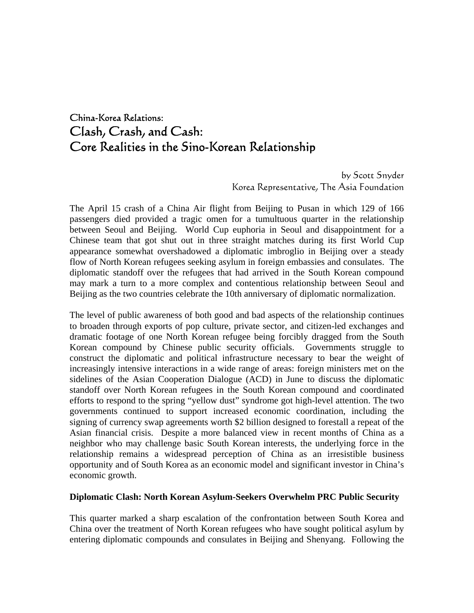# China-Korea Relations: Clash, Crash, and Cash: Core Realities in the Sino-Korean Relationship

 by Scott Snyder Korea Representative, The Asia Foundation

The April 15 crash of a China Air flight from Beijing to Pusan in which 129 of 166 passengers died provided a tragic omen for a tumultuous quarter in the relationship between Seoul and Beijing. World Cup euphoria in Seoul and disappointment for a Chinese team that got shut out in three straight matches during its first World Cup appearance somewhat overshadowed a diplomatic imbroglio in Beijing over a steady flow of North Korean refugees seeking asylum in foreign embassies and consulates. The diplomatic standoff over the refugees that had arrived in the South Korean compound may mark a turn to a more complex and contentious relationship between Seoul and Beijing as the two countries celebrate the 10th anniversary of diplomatic normalization.

The level of public awareness of both good and bad aspects of the relationship continues to broaden through exports of pop culture, private sector, and citizen-led exchanges and dramatic footage of one North Korean refugee being forcibly dragged from the South Korean compound by Chinese public security officials. Governments struggle to construct the diplomatic and political infrastructure necessary to bear the weight of increasingly intensive interactions in a wide range of areas: foreign ministers met on the sidelines of the Asian Cooperation Dialogue (ACD) in June to discuss the diplomatic standoff over North Korean refugees in the South Korean compound and coordinated efforts to respond to the spring "yellow dust" syndrome got high-level attention. The two governments continued to support increased economic coordination, including the signing of currency swap agreements worth \$2 billion designed to forestall a repeat of the Asian financial crisis. Despite a more balanced view in recent months of China as a neighbor who may challenge basic South Korean interests, the underlying force in the relationship remains a widespread perception of China as an irresistible business opportunity and of South Korea as an economic model and significant investor in China's economic growth.

#### **Diplomatic Clash: North Korean Asylum-Seekers Overwhelm PRC Public Security**

This quarter marked a sharp escalation of the confrontation between South Korea and China over the treatment of North Korean refugees who have sought political asylum by entering diplomatic compounds and consulates in Beijing and Shenyang. Following the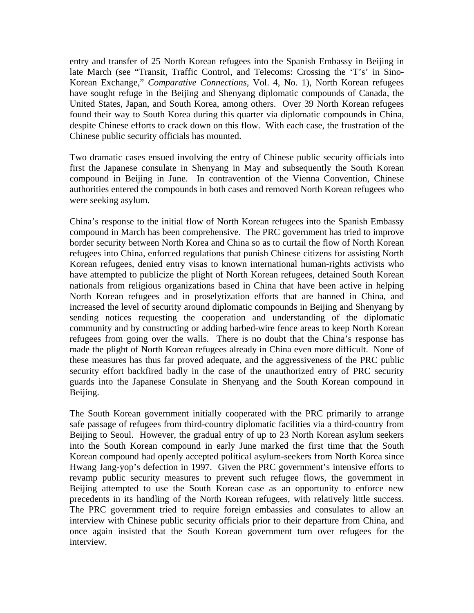entry and transfer of 25 North Korean refugees into the Spanish Embassy in Beijing in late March (see "Transit, Traffic Control, and Telecoms: Crossing the 'T's' in Sino-Korean Exchange," *Comparative Connections,* Vol. 4, No. 1), North Korean refugees have sought refuge in the Beijing and Shenyang diplomatic compounds of Canada, the United States, Japan, and South Korea, among others. Over 39 North Korean refugees found their way to South Korea during this quarter via diplomatic compounds in China, despite Chinese efforts to crack down on this flow. With each case, the frustration of the Chinese public security officials has mounted.

Two dramatic cases ensued involving the entry of Chinese public security officials into first the Japanese consulate in Shenyang in May and subsequently the South Korean compound in Beijing in June. In contravention of the Vienna Convention, Chinese authorities entered the compounds in both cases and removed North Korean refugees who were seeking asylum.

China's response to the initial flow of North Korean refugees into the Spanish Embassy compound in March has been comprehensive. The PRC government has tried to improve border security between North Korea and China so as to curtail the flow of North Korean refugees into China, enforced regulations that punish Chinese citizens for assisting North Korean refugees, denied entry visas to known international human-rights activists who have attempted to publicize the plight of North Korean refugees, detained South Korean nationals from religious organizations based in China that have been active in helping North Korean refugees and in proselytization efforts that are banned in China, and increased the level of security around diplomatic compounds in Beijing and Shenyang by sending notices requesting the cooperation and understanding of the diplomatic community and by constructing or adding barbed-wire fence areas to keep North Korean refugees from going over the walls. There is no doubt that the China's response has made the plight of North Korean refugees already in China even more difficult. None of these measures has thus far proved adequate, and the aggressiveness of the PRC public security effort backfired badly in the case of the unauthorized entry of PRC security guards into the Japanese Consulate in Shenyang and the South Korean compound in Beijing.

The South Korean government initially cooperated with the PRC primarily to arrange safe passage of refugees from third-country diplomatic facilities via a third-country from Beijing to Seoul. However, the gradual entry of up to 23 North Korean asylum seekers into the South Korean compound in early June marked the first time that the South Korean compound had openly accepted political asylum-seekers from North Korea since Hwang Jang-yop's defection in 1997. Given the PRC government's intensive efforts to revamp public security measures to prevent such refugee flows, the government in Beijing attempted to use the South Korean case as an opportunity to enforce new precedents in its handling of the North Korean refugees, with relatively little success. The PRC government tried to require foreign embassies and consulates to allow an interview with Chinese public security officials prior to their departure from China, and once again insisted that the South Korean government turn over refugees for the interview.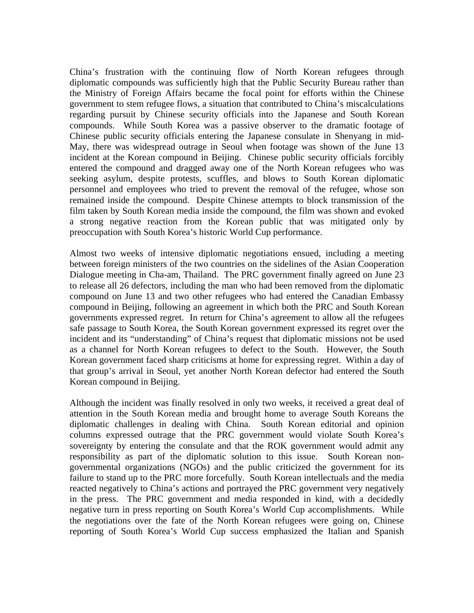China's frustration with the continuing flow of North Korean refugees through diplomatic compounds was sufficiently high that the Public Security Bureau rather than the Ministry of Foreign Affairs became the focal point for efforts within the Chinese government to stem refugee flows, a situation that contributed to China's miscalculations regarding pursuit by Chinese security officials into the Japanese and South Korean compounds. While South Korea was a passive observer to the dramatic footage of Chinese public security officials entering the Japanese consulate in Shenyang in mid-May, there was widespread outrage in Seoul when footage was shown of the June 13 incident at the Korean compound in Beijing. Chinese public security officials forcibly entered the compound and dragged away one of the North Korean refugees who was seeking asylum, despite protests, scuffles, and blows to South Korean diplomatic personnel and employees who tried to prevent the removal of the refugee, whose son remained inside the compound. Despite Chinese attempts to block transmission of the film taken by South Korean media inside the compound, the film was shown and evoked a strong negative reaction from the Korean public that was mitigated only by preoccupation with South Korea's historic World Cup performance.

Almost two weeks of intensive diplomatic negotiations ensued, including a meeting between foreign ministers of the two countries on the sidelines of the Asian Cooperation Dialogue meeting in Cha-am, Thailand. The PRC government finally agreed on June 23 to release all 26 defectors, including the man who had been removed from the diplomatic compound on June 13 and two other refugees who had entered the Canadian Embassy compound in Beijing, following an agreement in which both the PRC and South Korean governments expressed regret. In return for China's agreement to allow all the refugees safe passage to South Korea, the South Korean government expressed its regret over the incident and its "understanding" of China's request that diplomatic missions not be used as a channel for North Korean refugees to defect to the South. However, the South Korean government faced sharp criticisms at home for expressing regret. Within a day of that group's arrival in Seoul, yet another North Korean defector had entered the South Korean compound in Beijing.

Although the incident was finally resolved in only two weeks, it received a great deal of attention in the South Korean media and brought home to average South Koreans the diplomatic challenges in dealing with China. South Korean editorial and opinion columns expressed outrage that the PRC government would violate South Korea's sovereignty by entering the consulate and that the ROK government would admit any responsibility as part of the diplomatic solution to this issue. South Korean nongovernmental organizations (NGOs) and the public criticized the government for its failure to stand up to the PRC more forcefully. South Korean intellectuals and the media reacted negatively to China's actions and portrayed the PRC government very negatively in the press. The PRC government and media responded in kind, with a decidedly negative turn in press reporting on South Korea's World Cup accomplishments. While the negotiations over the fate of the North Korean refugees were going on, Chinese reporting of South Korea's World Cup success emphasized the Italian and Spanish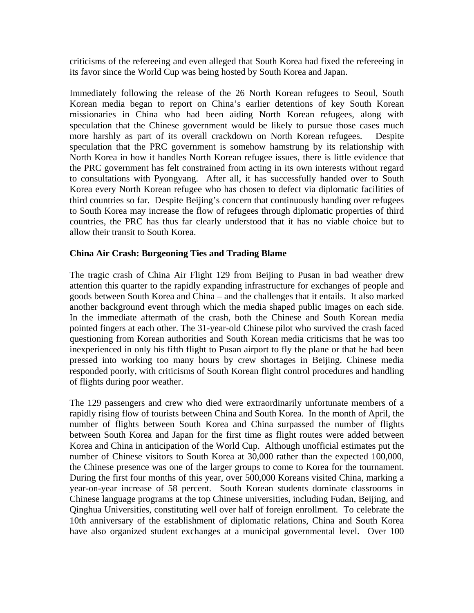criticisms of the refereeing and even alleged that South Korea had fixed the refereeing in its favor since the World Cup was being hosted by South Korea and Japan.

Immediately following the release of the 26 North Korean refugees to Seoul, South Korean media began to report on China's earlier detentions of key South Korean missionaries in China who had been aiding North Korean refugees, along with speculation that the Chinese government would be likely to pursue those cases much more harshly as part of its overall crackdown on North Korean refugees. Despite speculation that the PRC government is somehow hamstrung by its relationship with North Korea in how it handles North Korean refugee issues, there is little evidence that the PRC government has felt constrained from acting in its own interests without regard to consultations with Pyongyang. After all, it has successfully handed over to South Korea every North Korean refugee who has chosen to defect via diplomatic facilities of third countries so far. Despite Beijing's concern that continuously handing over refugees to South Korea may increase the flow of refugees through diplomatic properties of third countries, the PRC has thus far clearly understood that it has no viable choice but to allow their transit to South Korea.

### **China Air Crash: Burgeoning Ties and Trading Blame**

The tragic crash of China Air Flight 129 from Beijing to Pusan in bad weather drew attention this quarter to the rapidly expanding infrastructure for exchanges of people and goods between South Korea and China – and the challenges that it entails. It also marked another background event through which the media shaped public images on each side. In the immediate aftermath of the crash, both the Chinese and South Korean media pointed fingers at each other. The 31-year-old Chinese pilot who survived the crash faced questioning from Korean authorities and South Korean media criticisms that he was too inexperienced in only his fifth flight to Pusan airport to fly the plane or that he had been pressed into working too many hours by crew shortages in Beijing. Chinese media responded poorly, with criticisms of South Korean flight control procedures and handling of flights during poor weather.

The 129 passengers and crew who died were extraordinarily unfortunate members of a rapidly rising flow of tourists between China and South Korea. In the month of April, the number of flights between South Korea and China surpassed the number of flights between South Korea and Japan for the first time as flight routes were added between Korea and China in anticipation of the World Cup. Although unofficial estimates put the number of Chinese visitors to South Korea at 30,000 rather than the expected 100,000, the Chinese presence was one of the larger groups to come to Korea for the tournament. During the first four months of this year, over 500,000 Koreans visited China, marking a year-on-year increase of 58 percent. South Korean students dominate classrooms in Chinese language programs at the top Chinese universities, including Fudan, Beijing, and Qinghua Universities, constituting well over half of foreign enrollment. To celebrate the 10th anniversary of the establishment of diplomatic relations, China and South Korea have also organized student exchanges at a municipal governmental level. Over 100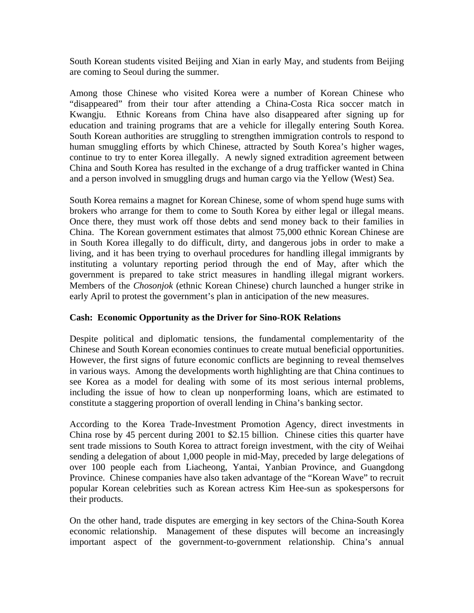South Korean students visited Beijing and Xian in early May, and students from Beijing are coming to Seoul during the summer.

Among those Chinese who visited Korea were a number of Korean Chinese who "disappeared" from their tour after attending a China-Costa Rica soccer match in Kwangju. Ethnic Koreans from China have also disappeared after signing up for education and training programs that are a vehicle for illegally entering South Korea. South Korean authorities are struggling to strengthen immigration controls to respond to human smuggling efforts by which Chinese, attracted by South Korea's higher wages, continue to try to enter Korea illegally. A newly signed extradition agreement between China and South Korea has resulted in the exchange of a drug trafficker wanted in China and a person involved in smuggling drugs and human cargo via the Yellow (West) Sea.

South Korea remains a magnet for Korean Chinese, some of whom spend huge sums with brokers who arrange for them to come to South Korea by either legal or illegal means. Once there, they must work off those debts and send money back to their families in China. The Korean government estimates that almost 75,000 ethnic Korean Chinese are in South Korea illegally to do difficult, dirty, and dangerous jobs in order to make a living, and it has been trying to overhaul procedures for handling illegal immigrants by instituting a voluntary reporting period through the end of May, after which the government is prepared to take strict measures in handling illegal migrant workers. Members of the *Chosonjok* (ethnic Korean Chinese) church launched a hunger strike in early April to protest the government's plan in anticipation of the new measures.

## **Cash: Economic Opportunity as the Driver for Sino-ROK Relations**

Despite political and diplomatic tensions, the fundamental complementarity of the Chinese and South Korean economies continues to create mutual beneficial opportunities. However, the first signs of future economic conflicts are beginning to reveal themselves in various ways. Among the developments worth highlighting are that China continues to see Korea as a model for dealing with some of its most serious internal problems, including the issue of how to clean up nonperforming loans, which are estimated to constitute a staggering proportion of overall lending in China's banking sector.

According to the Korea Trade-Investment Promotion Agency, direct investments in China rose by 45 percent during 2001 to \$2.15 billion. Chinese cities this quarter have sent trade missions to South Korea to attract foreign investment, with the city of Weihai sending a delegation of about 1,000 people in mid-May, preceded by large delegations of over 100 people each from Liacheong, Yantai, Yanbian Province, and Guangdong Province. Chinese companies have also taken advantage of the "Korean Wave" to recruit popular Korean celebrities such as Korean actress Kim Hee-sun as spokespersons for their products.

On the other hand, trade disputes are emerging in key sectors of the China-South Korea economic relationship. Management of these disputes will become an increasingly important aspect of the government-to-government relationship. China's annual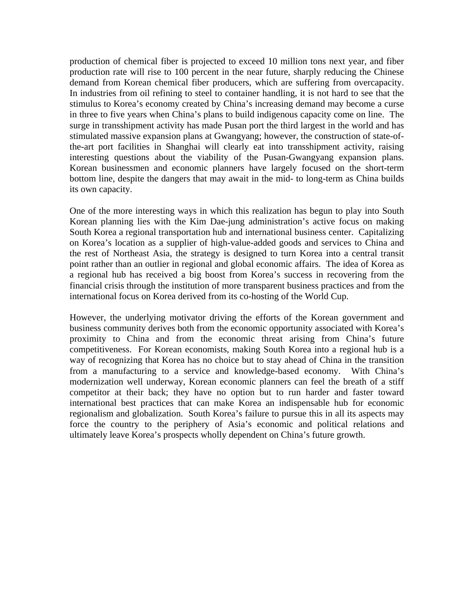production of chemical fiber is projected to exceed 10 million tons next year, and fiber production rate will rise to 100 percent in the near future, sharply reducing the Chinese demand from Korean chemical fiber producers, which are suffering from overcapacity. In industries from oil refining to steel to container handling, it is not hard to see that the stimulus to Korea's economy created by China's increasing demand may become a curse in three to five years when China's plans to build indigenous capacity come on line. The surge in transshipment activity has made Pusan port the third largest in the world and has stimulated massive expansion plans at Gwangyang; however, the construction of state-ofthe-art port facilities in Shanghai will clearly eat into transshipment activity, raising interesting questions about the viability of the Pusan-Gwangyang expansion plans. Korean businessmen and economic planners have largely focused on the short-term bottom line, despite the dangers that may await in the mid- to long-term as China builds its own capacity.

One of the more interesting ways in which this realization has begun to play into South Korean planning lies with the Kim Dae-jung administration's active focus on making South Korea a regional transportation hub and international business center. Capitalizing on Korea's location as a supplier of high-value-added goods and services to China and the rest of Northeast Asia, the strategy is designed to turn Korea into a central transit point rather than an outlier in regional and global economic affairs. The idea of Korea as a regional hub has received a big boost from Korea's success in recovering from the financial crisis through the institution of more transparent business practices and from the international focus on Korea derived from its co-hosting of the World Cup.

However, the underlying motivator driving the efforts of the Korean government and business community derives both from the economic opportunity associated with Korea's proximity to China and from the economic threat arising from China's future competitiveness. For Korean economists, making South Korea into a regional hub is a way of recognizing that Korea has no choice but to stay ahead of China in the transition from a manufacturing to a service and knowledge-based economy. With China's modernization well underway, Korean economic planners can feel the breath of a stiff competitor at their back; they have no option but to run harder and faster toward international best practices that can make Korea an indispensable hub for economic regionalism and globalization. South Korea's failure to pursue this in all its aspects may force the country to the periphery of Asia's economic and political relations and ultimately leave Korea's prospects wholly dependent on China's future growth.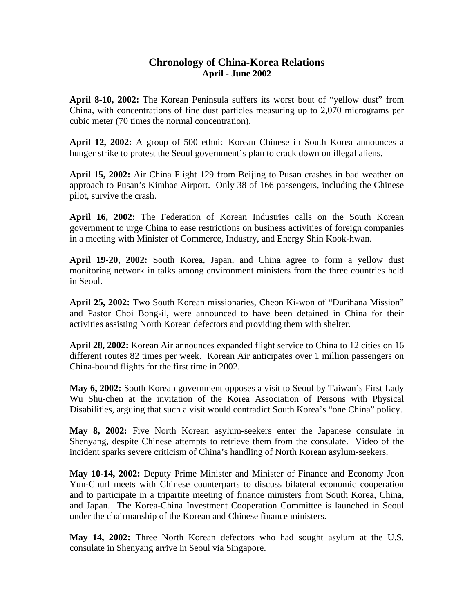## **Chronology of China-Korea Relations April - June 2002**

**April 8-10, 2002:** The Korean Peninsula suffers its worst bout of "yellow dust" from China, with concentrations of fine dust particles measuring up to 2,070 micrograms per cubic meter (70 times the normal concentration).

**April 12, 2002:** A group of 500 ethnic Korean Chinese in South Korea announces a hunger strike to protest the Seoul government's plan to crack down on illegal aliens.

**April 15, 2002:** Air China Flight 129 from Beijing to Pusan crashes in bad weather on approach to Pusan's Kimhae Airport. Only 38 of 166 passengers, including the Chinese pilot, survive the crash.

**April 16, 2002:** The Federation of Korean Industries calls on the South Korean government to urge China to ease restrictions on business activities of foreign companies in a meeting with Minister of Commerce, Industry, and Energy Shin Kook-hwan.

**April 19-20, 2002:** South Korea, Japan, and China agree to form a yellow dust monitoring network in talks among environment ministers from the three countries held in Seoul.

**April 25, 2002:** Two South Korean missionaries, Cheon Ki-won of "Durihana Mission" and Pastor Choi Bong-il, were announced to have been detained in China for their activities assisting North Korean defectors and providing them with shelter.

**April 28, 2002:** Korean Air announces expanded flight service to China to 12 cities on 16 different routes 82 times per week. Korean Air anticipates over 1 million passengers on China-bound flights for the first time in 2002.

**May 6, 2002:** South Korean government opposes a visit to Seoul by Taiwan's First Lady Wu Shu-chen at the invitation of the Korea Association of Persons with Physical Disabilities, arguing that such a visit would contradict South Korea's "one China" policy.

**May 8, 2002:** Five North Korean asylum-seekers enter the Japanese consulate in Shenyang, despite Chinese attempts to retrieve them from the consulate. Video of the incident sparks severe criticism of China's handling of North Korean asylum-seekers.

**May 10-14, 2002:** Deputy Prime Minister and Minister of Finance and Economy Jeon Yun-Churl meets with Chinese counterparts to discuss bilateral economic cooperation and to participate in a tripartite meeting of finance ministers from South Korea, China, and Japan. The Korea-China Investment Cooperation Committee is launched in Seoul under the chairmanship of the Korean and Chinese finance ministers.

**May 14, 2002:** Three North Korean defectors who had sought asylum at the U.S. consulate in Shenyang arrive in Seoul via Singapore.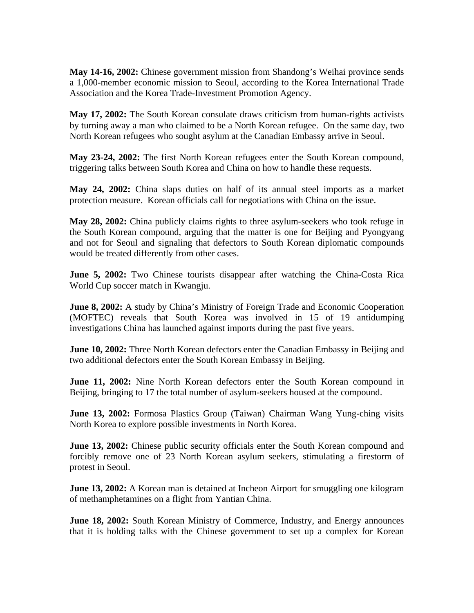**May 14-16, 2002:** Chinese government mission from Shandong's Weihai province sends a 1,000-member economic mission to Seoul, according to the Korea International Trade Association and the Korea Trade-Investment Promotion Agency.

**May 17, 2002:** The South Korean consulate draws criticism from human-rights activists by turning away a man who claimed to be a North Korean refugee. On the same day, two North Korean refugees who sought asylum at the Canadian Embassy arrive in Seoul.

**May 23-24, 2002:** The first North Korean refugees enter the South Korean compound, triggering talks between South Korea and China on how to handle these requests.

**May 24, 2002:** China slaps duties on half of its annual steel imports as a market protection measure. Korean officials call for negotiations with China on the issue.

**May 28, 2002:** China publicly claims rights to three asylum-seekers who took refuge in the South Korean compound, arguing that the matter is one for Beijing and Pyongyang and not for Seoul and signaling that defectors to South Korean diplomatic compounds would be treated differently from other cases.

**June 5, 2002:** Two Chinese tourists disappear after watching the China-Costa Rica World Cup soccer match in Kwangju.

**June 8, 2002:** A study by China's Ministry of Foreign Trade and Economic Cooperation (MOFTEC) reveals that South Korea was involved in 15 of 19 antidumping investigations China has launched against imports during the past five years.

**June 10, 2002:** Three North Korean defectors enter the Canadian Embassy in Beijing and two additional defectors enter the South Korean Embassy in Beijing.

**June 11, 2002:** Nine North Korean defectors enter the South Korean compound in Beijing, bringing to 17 the total number of asylum-seekers housed at the compound.

**June 13, 2002:** Formosa Plastics Group (Taiwan) Chairman Wang Yung-ching visits North Korea to explore possible investments in North Korea.

**June 13, 2002:** Chinese public security officials enter the South Korean compound and forcibly remove one of 23 North Korean asylum seekers, stimulating a firestorm of protest in Seoul.

**June 13, 2002:** A Korean man is detained at Incheon Airport for smuggling one kilogram of methamphetamines on a flight from Yantian China.

**June 18, 2002:** South Korean Ministry of Commerce, Industry, and Energy announces that it is holding talks with the Chinese government to set up a complex for Korean